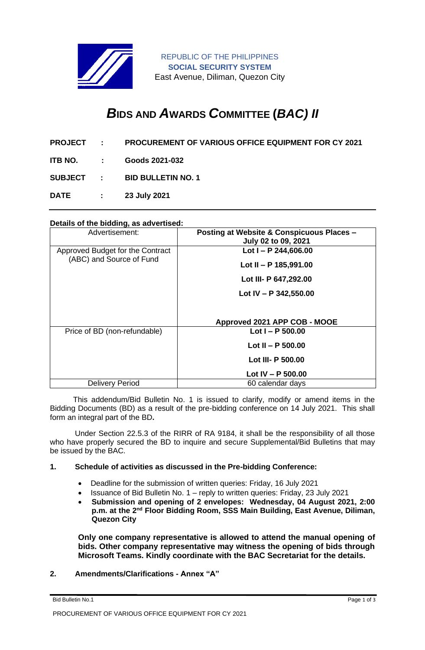

# *B***IDS AND** *A***WARDS** *C***OMMITTEE (***BAC) II*

- **PROJECT : PROCUREMENT OF VARIOUS OFFICE EQUIPMENT FOR CY 2021**
- **ITB NO. : Goods 2021-032**

**SUBJECT : BID BULLETIN NO. 1**

**DATE : 23 July 2021**

## **Details of the bidding, as advertised:**

| Advertisement:                   | Posting at Website & Conspicuous Places - |
|----------------------------------|-------------------------------------------|
|                                  | July 02 to 09, 2021                       |
| Approved Budget for the Contract | Lot $I - P$ 244,606.00                    |
| (ABC) and Source of Fund         | Lot II - P $185,991.00$                   |
|                                  | Lot III- P 647,292.00                     |
|                                  | Lot IV - P $342,550.00$                   |
|                                  | Approved 2021 APP COB - MOOE              |
| Price of BD (non-refundable)     | Lot $I - P 500.00$                        |
|                                  | Lot II - P $500.00$                       |
|                                  | Lot III- P 500.00                         |
|                                  | Lot $IV - P$ 500.00                       |
| Delivery Period                  | 60 calendar days                          |

 This addendum/Bid Bulletin No. 1 is issued to clarify, modify or amend items in the Bidding Documents (BD) as a result of the pre-bidding conference on 14 July 2021. This shall form an integral part of the BD**.**

Under Section 22.5.3 of the RIRR of RA 9184, it shall be the responsibility of all those who have properly secured the BD to inquire and secure Supplemental/Bid Bulletins that may be issued by the BAC.

## **1. Schedule of activities as discussed in the Pre-bidding Conference:**

- Deadline for the submission of written queries: Friday, 16 July 2021
- Issuance of Bid Bulletin No. 1 reply to written queries: Friday, 23 July 2021
- **Submission and opening of 2 envelopes: Wednesday, 04 August 2021, 2:00 p.m. at the 2nd Floor Bidding Room, SSS Main Building, East Avenue, Diliman, Quezon City**

**Only one company representative is allowed to attend the manual opening of bids. Other company representative may witness the opening of bids through Microsoft Teams. Kindly coordinate with the BAC Secretariat for the details.**

## **2. Amendments/Clarifications - Annex "A"**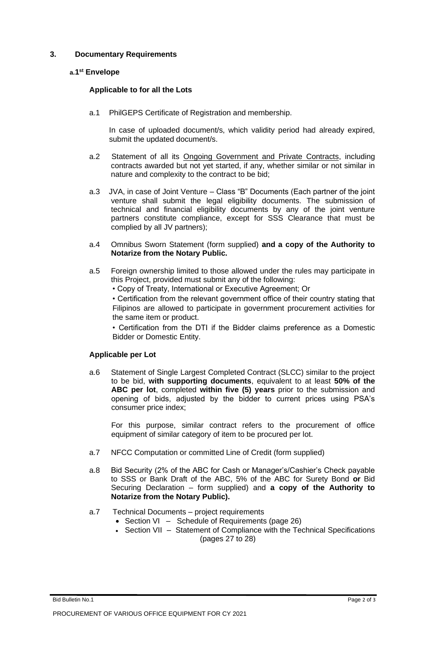# **3. Documentary Requirements**

# **a.1 st Envelope**

# **Applicable to for all the Lots**

a.1 PhilGEPS Certificate of Registration and membership.

In case of uploaded document/s, which validity period had already expired, submit the updated document/s.

- a.2 Statement of all its Ongoing Government and Private Contracts, including contracts awarded but not yet started, if any, whether similar or not similar in nature and complexity to the contract to be bid;
- a.3 JVA, in case of Joint Venture Class "B" Documents (Each partner of the joint venture shall submit the legal eligibility documents. The submission of technical and financial eligibility documents by any of the joint venture partners constitute compliance, except for SSS Clearance that must be complied by all JV partners);
- a.4 Omnibus Sworn Statement (form supplied) **and a copy of the Authority to Notarize from the Notary Public.**
- a.5 Foreign ownership limited to those allowed under the rules may participate in this Project, provided must submit any of the following:
	- Copy of Treaty, International or Executive Agreement; Or

• Certification from the relevant government office of their country stating that Filipinos are allowed to participate in government procurement activities for the same item or product.

• Certification from the DTI if the Bidder claims preference as a Domestic Bidder or Domestic Entity.

# **Applicable per Lot**

a.6 Statement of Single Largest Completed Contract (SLCC) similar to the project to be bid, **with supporting documents**, equivalent to at least **50% of the ABC per lot**, completed **within five (5) years** prior to the submission and opening of bids, adjusted by the bidder to current prices using PSA's consumer price index;

For this purpose, similar contract refers to the procurement of office equipment of similar category of item to be procured per lot.

- a.7 NFCC Computation or committed Line of Credit (form supplied)
- a.8 Bid Security (2% of the ABC for Cash or Manager's/Cashier's Check payable to SSS or Bank Draft of the ABC, 5% of the ABC for Surety Bond **or** Bid Securing Declaration – form supplied) and **a copy of the Authority to Notarize from the Notary Public).**
- a.7 Technical Documents project requirements
	- Section VI Schedule of Requirements (page 26)
	- Section VII Statement of Compliance with the Technical Specifications (pages 27 to 28)